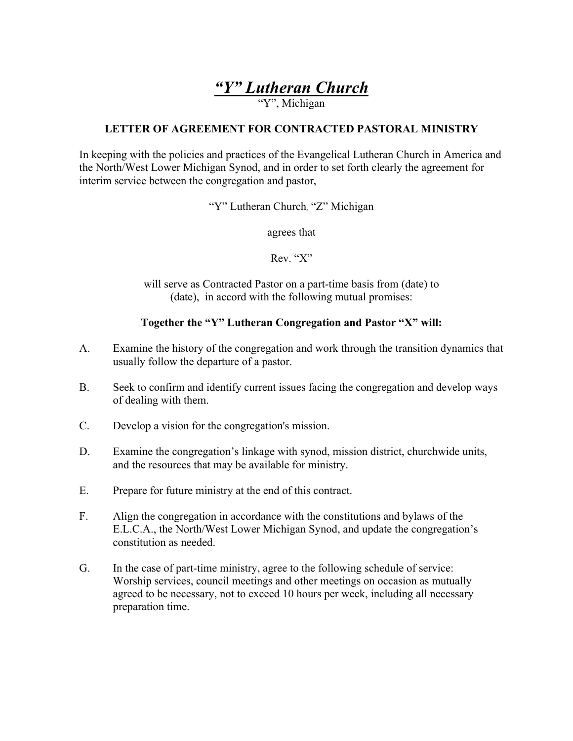# *"Y" Lutheran Church*

"Y", Michigan

#### **LETTER OF AGREEMENT FOR CONTRACTED PASTORAL MINISTRY**

In keeping with the policies and practices of the Evangelical Lutheran Church in America and the North/West Lower Michigan Synod, and in order to set forth clearly the agreement for interim service between the congregation and pastor,

"Y" Lutheran Church*,* "Z" Michigan

agrees that

Rev. "X"

will serve as Contracted Pastor on a part-time basis from (date) to (date), in accord with the following mutual promises:

#### **Together the "Y" Lutheran Congregation and Pastor "X" will:**

- A. Examine the history of the congregation and work through the transition dynamics that usually follow the departure of a pastor.
- B. Seek to confirm and identify current issues facing the congregation and develop ways of dealing with them.
- C. Develop a vision for the congregation's mission.
- D. Examine the congregation's linkage with synod, mission district, churchwide units, and the resources that may be available for ministry.
- E. Prepare for future ministry at the end of this contract.
- F. Align the congregation in accordance with the constitutions and bylaws of the E.L.C.A., the North/West Lower Michigan Synod, and update the congregation's constitution as needed.
- G. In the case of part-time ministry, agree to the following schedule of service: Worship services, council meetings and other meetings on occasion as mutually agreed to be necessary, not to exceed 10 hours per week, including all necessary preparation time.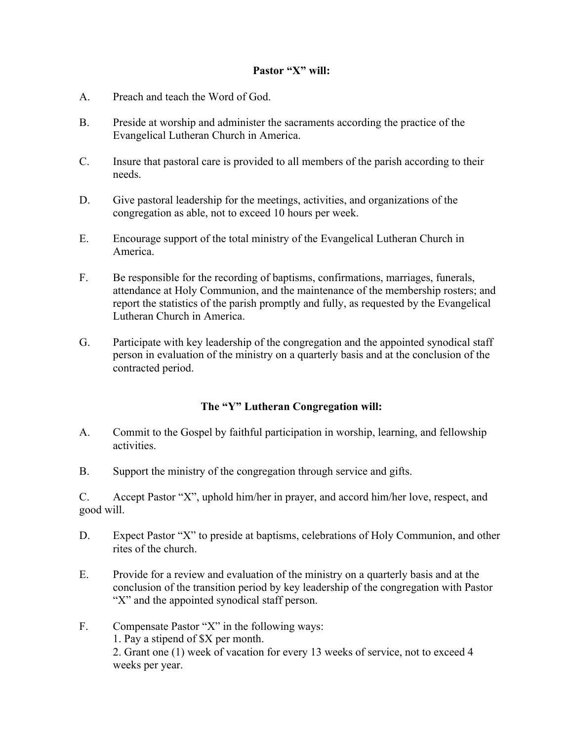#### **Pastor "X" will:**

- A. Preach and teach the Word of God.
- B. Preside at worship and administer the sacraments according the practice of the Evangelical Lutheran Church in America.
- C. Insure that pastoral care is provided to all members of the parish according to their needs.
- D. Give pastoral leadership for the meetings, activities, and organizations of the congregation as able, not to exceed 10 hours per week.
- E. Encourage support of the total ministry of the Evangelical Lutheran Church in America.
- F. Be responsible for the recording of baptisms, confirmations, marriages, funerals, attendance at Holy Communion, and the maintenance of the membership rosters; and report the statistics of the parish promptly and fully, as requested by the Evangelical Lutheran Church in America.
- G. Participate with key leadership of the congregation and the appointed synodical staff person in evaluation of the ministry on a quarterly basis and at the conclusion of the contracted period.

#### **The "Y" Lutheran Congregation will:**

- A. Commit to the Gospel by faithful participation in worship, learning, and fellowship activities.
- B. Support the ministry of the congregation through service and gifts.

C. Accept Pastor "X", uphold him/her in prayer, and accord him/her love, respect, and good will.

- D. Expect Pastor "X" to preside at baptisms, celebrations of Holy Communion, and other rites of the church.
- E. Provide for a review and evaluation of the ministry on a quarterly basis and at the conclusion of the transition period by key leadership of the congregation with Pastor "X" and the appointed synodical staff person.
- F. Compensate Pastor "X" in the following ways: 1. Pay a stipend of \$X per month. 2. Grant one (1) week of vacation for every 13 weeks of service, not to exceed 4 weeks per year.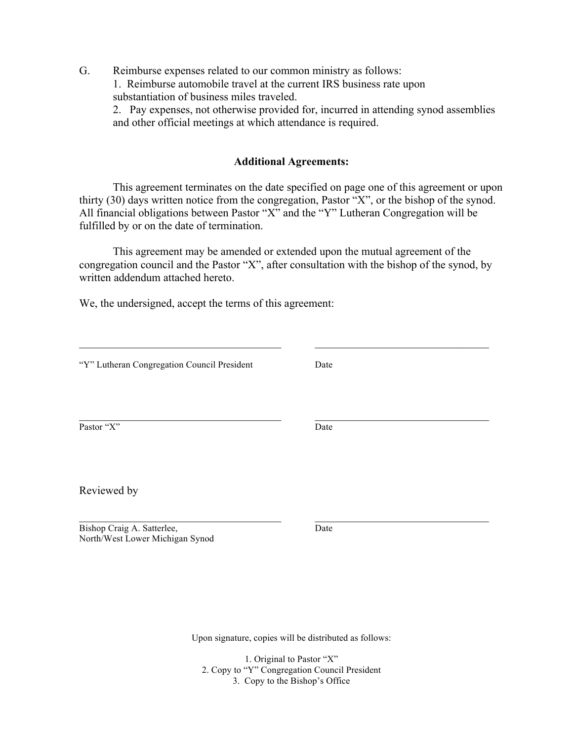G. Reimburse expenses related to our common ministry as follows: 1. Reimburse automobile travel at the current IRS business rate upon substantiation of business miles traveled.

2. Pay expenses, not otherwise provided for, incurred in attending synod assemblies and other official meetings at which attendance is required.

# **Additional Agreements:**

This agreement terminates on the date specified on page one of this agreement or upon thirty (30) days written notice from the congregation, Pastor "X", or the bishop of the synod. All financial obligations between Pastor "X" and the "Y" Lutheran Congregation will be fulfilled by or on the date of termination.

This agreement may be amended or extended upon the mutual agreement of the congregation council and the Pastor "X", after consultation with the bishop of the synod, by written addendum attached hereto.

We, the undersigned, accept the terms of this agreement:

| "Y" Lutheran Congregation Council President                   | Date |  |
|---------------------------------------------------------------|------|--|
| Pastor "X"                                                    | Date |  |
|                                                               |      |  |
| Reviewed by                                                   |      |  |
| Bishop Craig A. Satterlee,<br>North/West Lower Michigan Synod | Date |  |

Upon signature, copies will be distributed as follows:

1. Original to Pastor "X" 2. Copy to "Y" Congregation Council President 3. Copy to the Bishop's Office